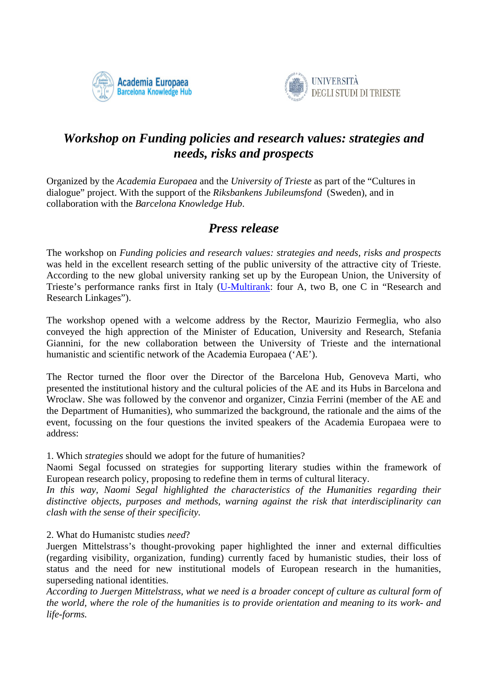



## *Workshop on Funding policies and research values: strategies and needs, risks and prospects*

Organized by the *Academia Europaea* and the *University of Trieste* as part of the "Cultures in dialogue" project. With the support of the *Riksbankens Jubileumsfond* (Sweden), and in collaboration with the *Barcelona Knowledge Hub*.

## *Press release*

The workshop on *Funding policies and research values: strategies and needs, risks and prospects* was held in the excellent research setting of the public university of the attractive city of Trieste. According to the new global university ranking set up by the European Union, the University of Trieste's performance ranks first in Italy [\(U-Multirank:](http://u-multirank.eu/#!/home?trackType=home) four A, two B, one C in "Research and Research Linkages").

The workshop opened with a welcome address by the Rector, Maurizio Fermeglia, who also conveyed the high apprection of the Minister of Education, University and Research, Stefania Giannini, for the new collaboration between the University of Trieste and the international humanistic and scientific network of the Academia Europaea ('AE').

The Rector turned the floor over the Director of the Barcelona Hub, Genoveva Marti, who presented the institutional history and the cultural policies of the AE and its Hubs in Barcelona and Wroclaw. She was followed by the convenor and organizer, Cinzia Ferrini (member of the AE and the Department of Humanities), who summarized the background, the rationale and the aims of the event, focussing on the four questions the invited speakers of the Academia Europaea were to address:

1. Which *strategies* should we adopt for the future of humanities?

Naomi Segal focussed on strategies for supporting literary studies within the framework of European research policy, proposing to redefine them in terms of cultural literacy.

*In this way, Naomi Segal highlighted the characteristics of the Humanities regarding their distinctive objects, purposes and methods, warning against the risk that interdisciplinarity can clash with the sense of their specificity.*

2. What do Humanistc studies *need*?

Juergen Mittelstrass's thought-provoking paper highlighted the inner and external difficulties (regarding visibility, organization, funding) currently faced by humanistic studies, their loss of status and the need for new institutional models of European research in the humanities, superseding national identities.

*According to Juergen Mittelstrass, what we need is a broader concept of culture as cultural form of the world, where the role of the humanities is to provide orientation and meaning to its work- and life-forms.*